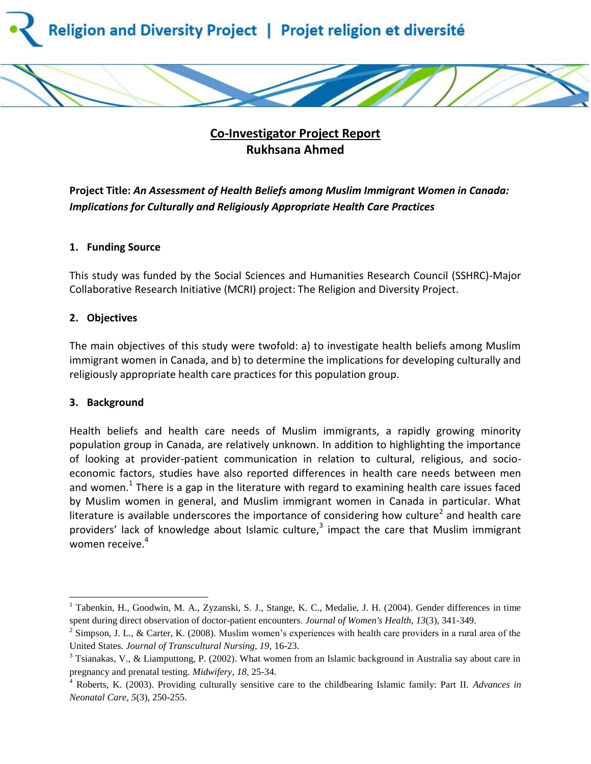

# **Co-Investigator Project Report Rukhsana Ahmed**

**Project Title:** *An Assessment of Health Beliefs among Muslim Immigrant Women in Canada: Implications for Culturally and Religiously Appropriate Health Care Practices*

## **1. Funding Source**

This study was funded by the Social Sciences and Humanities Research Council (SSHRC)-Major Collaborative Research Initiative (MCRI) project: The Religion and Diversity Project.

## **2. Objectives**

The main objectives of this study were twofold: a) to investigate health beliefs among Muslim immigrant women in Canada, and b) to determine the implications for developing culturally and religiously appropriate health care practices for this population group.

## **3. Background**

l

Health beliefs and health care needs of Muslim immigrants, a rapidly growing minority population group in Canada, are relatively unknown. In addition to highlighting the importance of looking at provider-patient communication in relation to cultural, religious, and socioeconomic factors, studies have also reported differences in health care needs between men and women.<sup>1</sup> There is a gap in the literature with regard to examining health care issues faced by Muslim women in general, and Muslim immigrant women in Canada in particular. What literature is available underscores the importance of considering how culture<sup>2</sup> and health care providers' lack of knowledge about Islamic culture, $3$  impact the care that Muslim immigrant women receive.<sup>4</sup>

<sup>&</sup>lt;sup>1</sup> Tabenkin, H., Goodwin, M. A., Zyzanski, S. J., Stange, K. C., Medalie, J. H. (2004). Gender differences in time spent during direct observation of doctor-patient encounters. *Journal of Women's Health*, *13*(3), 341-349.

<sup>&</sup>lt;sup>2</sup> Simpson, J. L., & Carter, K. (2008). Muslim women's experiences with health care providers in a rural area of the United States. *Journal of Transcultural Nursing, 19*, 16-23.

 $3$  Tsianakas, V., & Liamputtong, P. (2002). What women from an Islamic background in Australia say about care in pregnancy and prenatal testing. *Midwifery, 18*, 25-34.

<sup>4</sup> Roberts, K. (2003). Providing culturally sensitive care to the childbearing Islamic family: Part II. *Advances in Neonatal Care, 5*(3), 250-255.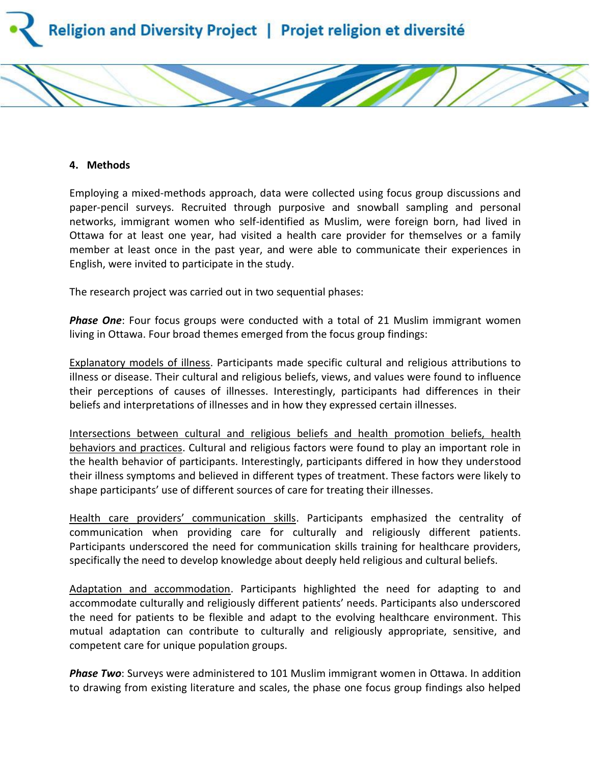

#### **4. Methods**

Employing a mixed-methods approach, data were collected using focus group discussions and paper-pencil surveys. Recruited through purposive and snowball sampling and personal networks, immigrant women who self-identified as Muslim, were foreign born, had lived in Ottawa for at least one year, had visited a health care provider for themselves or a family member at least once in the past year, and were able to communicate their experiences in English, were invited to participate in the study.

The research project was carried out in two sequential phases:

*Phase One*: Four focus groups were conducted with a total of 21 Muslim immigrant women living in Ottawa. Four broad themes emerged from the focus group findings:

Explanatory models of illness. Participants made specific cultural and religious attributions to illness or disease. Their cultural and religious beliefs, views, and values were found to influence their perceptions of causes of illnesses. Interestingly, participants had differences in their beliefs and interpretations of illnesses and in how they expressed certain illnesses.

Intersections between cultural and religious beliefs and health promotion beliefs, health behaviors and practices. Cultural and religious factors were found to play an important role in the health behavior of participants. Interestingly, participants differed in how they understood their illness symptoms and believed in different types of treatment. These factors were likely to shape participants' use of different sources of care for treating their illnesses.

Health care providers' communication skills. Participants emphasized the centrality of communication when providing care for culturally and religiously different patients. Participants underscored the need for communication skills training for healthcare providers, specifically the need to develop knowledge about deeply held religious and cultural beliefs.

Adaptation and accommodation. Participants highlighted the need for adapting to and accommodate culturally and religiously different patients' needs. Participants also underscored the need for patients to be flexible and adapt to the evolving healthcare environment. This mutual adaptation can contribute to culturally and religiously appropriate, sensitive, and competent care for unique population groups.

*Phase Two*: Surveys were administered to 101 Muslim immigrant women in Ottawa. In addition to drawing from existing literature and scales, the phase one focus group findings also helped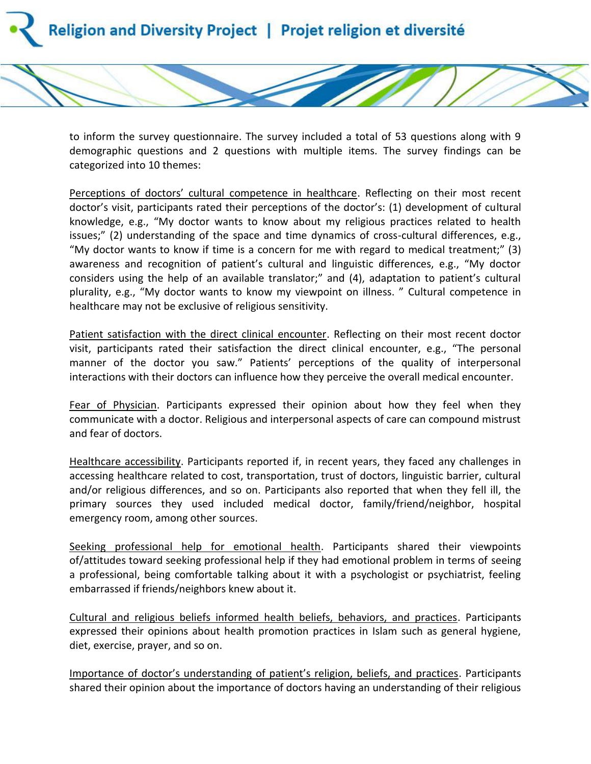

to inform the survey questionnaire. The survey included a total of 53 questions along with 9 demographic questions and 2 questions with multiple items. The survey findings can be categorized into 10 themes:

Perceptions of doctors' cultural competence in healthcare. Reflecting on their most recent doctor's visit, participants rated their perceptions of the doctor's: (1) development of cultural knowledge, e.g., "My doctor wants to know about my religious practices related to health issues;" (2) understanding of the space and time dynamics of cross-cultural differences, e.g., "My doctor wants to know if time is a concern for me with regard to medical treatment;" (3) awareness and recognition of patient's cultural and linguistic differences, e.g., "My doctor considers using the help of an available translator;" and (4), adaptation to patient's cultural plurality, e.g., "My doctor wants to know my viewpoint on illness. " Cultural competence in healthcare may not be exclusive of religious sensitivity.

Patient satisfaction with the direct clinical encounter. Reflecting on their most recent doctor visit, participants rated their satisfaction the direct clinical encounter, e.g., "The personal manner of the doctor you saw." Patients' perceptions of the quality of interpersonal interactions with their doctors can influence how they perceive the overall medical encounter.

Fear of Physician. Participants expressed their opinion about how they feel when they communicate with a doctor. Religious and interpersonal aspects of care can compound mistrust and fear of doctors.

Healthcare accessibility. Participants reported if, in recent years, they faced any challenges in accessing healthcare related to cost, transportation, trust of doctors, linguistic barrier, cultural and/or religious differences, and so on. Participants also reported that when they fell ill, the primary sources they used included medical doctor, family/friend/neighbor, hospital emergency room, among other sources.

Seeking professional help for emotional health. Participants shared their viewpoints of/attitudes toward seeking professional help if they had emotional problem in terms of seeing a professional, being comfortable talking about it with a psychologist or psychiatrist, feeling embarrassed if friends/neighbors knew about it.

Cultural and religious beliefs informed health beliefs, behaviors, and practices. Participants expressed their opinions about health promotion practices in Islam such as general hygiene, diet, exercise, prayer, and so on.

Importance of doctor's understanding of patient's religion, beliefs, and practices. Participants shared their opinion about the importance of doctors having an understanding of their religious